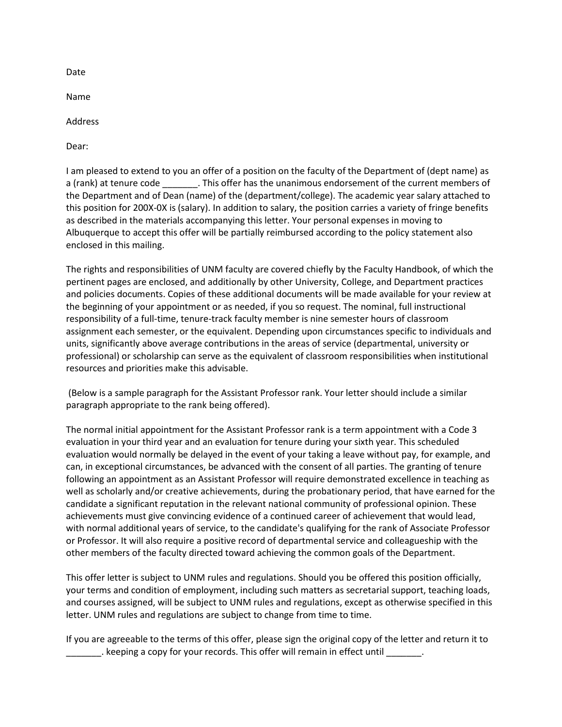Date

Name

Address

Dear:

I am pleased to extend to you an offer of a position on the faculty of the Department of (dept name) as a (rank) at tenure code . This offer has the unanimous endorsement of the current members of the Department and of Dean (name) of the (department/college). The academic year salary attached to this position for 200X-0X is (salary). In addition to salary, the position carries a variety of fringe benefits as described in the materials accompanying this letter. Your personal expenses in moving to Albuquerque to accept this offer will be partially reimbursed according to the policy statement also enclosed in this mailing.

The rights and responsibilities of UNM faculty are covered chiefly by the Faculty Handbook, of which the pertinent pages are enclosed, and additionally by other University, College, and Department practices and policies documents. Copies of these additional documents will be made available for your review at the beginning of your appointment or as needed, if you so request. The nominal, full instructional responsibility of a full-time, tenure-track faculty member is nine semester hours of classroom assignment each semester, or the equivalent. Depending upon circumstances specific to individuals and units, significantly above average contributions in the areas of service (departmental, university or professional) or scholarship can serve as the equivalent of classroom responsibilities when institutional resources and priorities make this advisable.

(Below is a sample paragraph for the Assistant Professor rank. Your letter should include a similar paragraph appropriate to the rank being offered).

The normal initial appointment for the Assistant Professor rank is a term appointment with a Code 3 evaluation in your third year and an evaluation for tenure during your sixth year. This scheduled evaluation would normally be delayed in the event of your taking a leave without pay, for example, and can, in exceptional circumstances, be advanced with the consent of all parties. The granting of tenure following an appointment as an Assistant Professor will require demonstrated excellence in teaching as well as scholarly and/or creative achievements, during the probationary period, that have earned for the candidate a significant reputation in the relevant national community of professional opinion. These achievements must give convincing evidence of a continued career of achievement that would lead, with normal additional years of service, to the candidate's qualifying for the rank of Associate Professor or Professor. It will also require a positive record of departmental service and colleagueship with the other members of the faculty directed toward achieving the common goals of the Department.

This offer letter is subject to UNM rules and regulations. Should you be offered this position officially, your terms and condition of employment, including such matters as secretarial support, teaching loads, and courses assigned, will be subject to UNM rules and regulations, except as otherwise specified in this letter. UNM rules and regulations are subject to change from time to time.

If you are agreeable to the terms of this offer, please sign the original copy of the letter and return it to . keeping a copy for your records. This offer will remain in effect until  $\qquad \qquad$ .